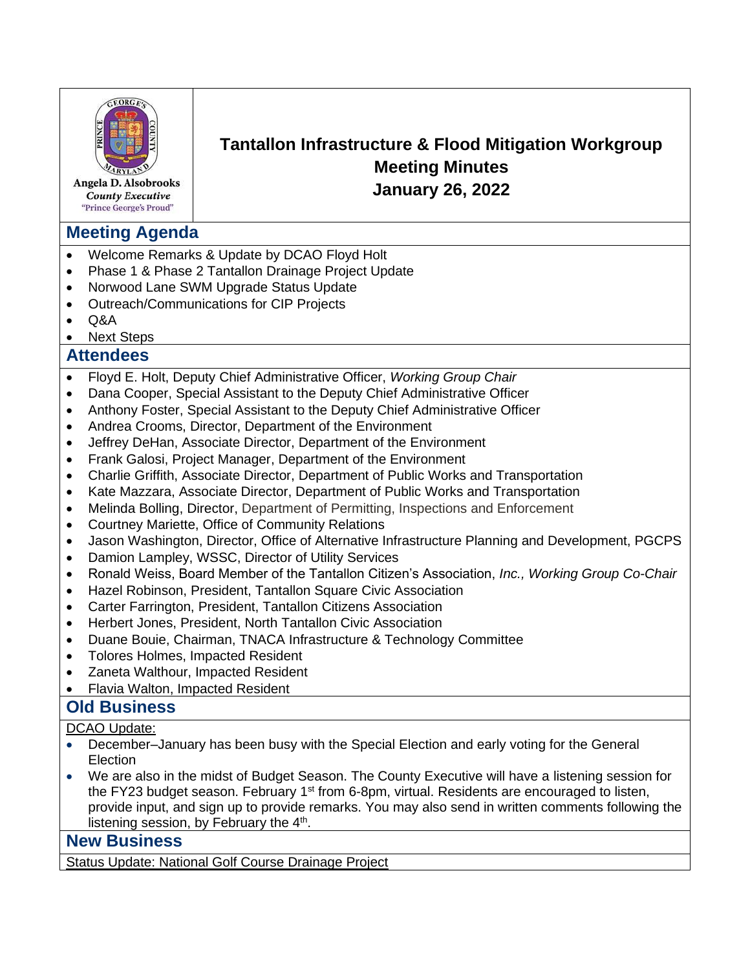

Angela D. Alsobrooks **County Executive** "Prince George's Proud"

# **Meeting Agenda**

- Welcome Remarks & Update by DCAO Floyd Holt
- Phase 1 & Phase 2 Tantallon Drainage Project Update
- Norwood Lane SWM Upgrade Status Update
- Outreach/Communications for CIP Projects
- Q&A
- Next Steps

# **Attendees**

- Floyd E. Holt, Deputy Chief Administrative Officer, *Working Group Chair*
- Dana Cooper, Special Assistant to the Deputy Chief Administrative Officer
- Anthony Foster, Special Assistant to the Deputy Chief Administrative Officer
- Andrea Crooms, Director, Department of the Environment
- Jeffrey DeHan, Associate Director, Department of the Environment
- Frank Galosi, Project Manager, Department of the Environment
- Charlie Griffith, Associate Director, Department of Public Works and Transportation
- Kate Mazzara, Associate Director, Department of Public Works and Transportation
- Melinda Bolling, Director, Department of Permitting, Inspections and Enforcement
- Courtney Mariette, Office of Community Relations
- Jason Washington, Director, Office of Alternative Infrastructure Planning and Development, PGCPS

**Tantallon Infrastructure & Flood Mitigation Workgroup Meeting Minutes January 26, 2022**

- Damion Lampley, WSSC, Director of Utility Services
- Ronald Weiss, Board Member of the Tantallon Citizen's Association, *Inc., Working Group Co-Chair*
- Hazel Robinson, President, Tantallon Square Civic Association
- Carter Farrington, President, Tantallon Citizens Association
- Herbert Jones, President, North Tantallon Civic Association
- Duane Bouie, Chairman, TNACA Infrastructure & Technology Committee
- Tolores Holmes, Impacted Resident
- Zaneta Walthour, Impacted Resident
- Flavia Walton, Impacted Resident

### **Old Business**

DCAO Update:

- December–January has been busy with the Special Election and early voting for the General **Election**
- We are also in the midst of Budget Season. The County Executive will have a listening session for the FY23 budget season. February  $1<sup>st</sup>$  from 6-8pm, virtual. Residents are encouraged to listen, provide input, and sign up to provide remarks. You may also send in written comments following the listening session, by February the  $4<sup>th</sup>$ .

#### **New Business**

Status Update: National Golf Course Drainage Project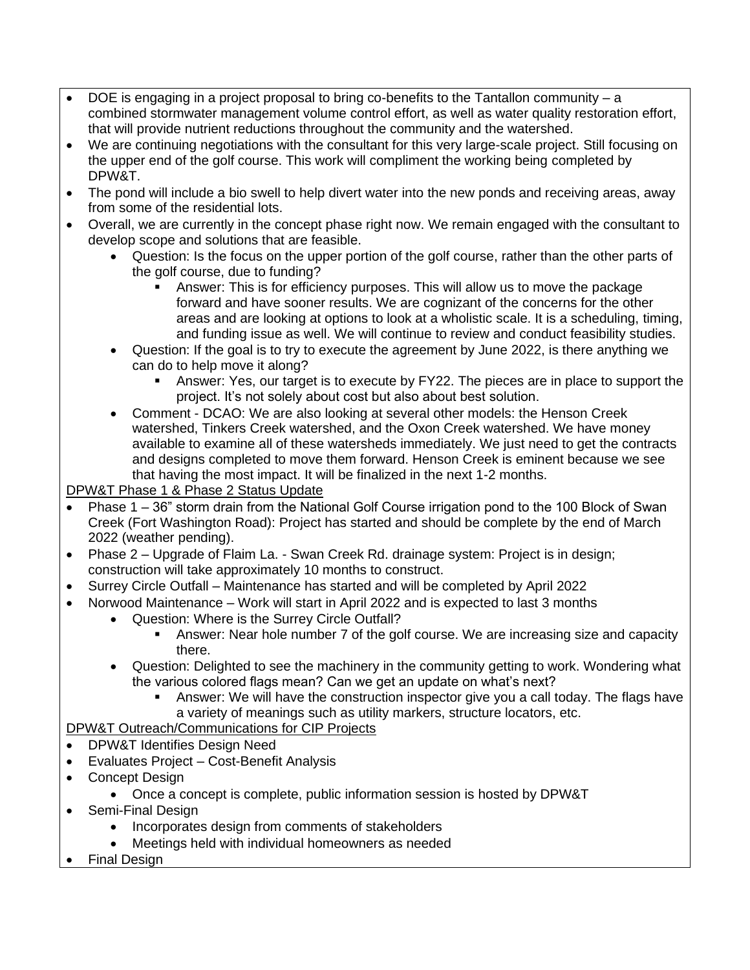- DOE is engaging in a project proposal to bring co-benefits to the Tantallon community a combined stormwater management volume control effort, as well as water quality restoration effort, that will provide nutrient reductions throughout the community and the watershed.
- We are continuing negotiations with the consultant for this very large-scale project. Still focusing on the upper end of the golf course. This work will compliment the working being completed by DPW&T.
- The pond will include a bio swell to help divert water into the new ponds and receiving areas, away from some of the residential lots.
- Overall, we are currently in the concept phase right now. We remain engaged with the consultant to develop scope and solutions that are feasible.
	- Question: Is the focus on the upper portion of the golf course, rather than the other parts of the golf course, due to funding?
		- **EXED** Answer: This is for efficiency purposes. This will allow us to move the package forward and have sooner results. We are cognizant of the concerns for the other areas and are looking at options to look at a wholistic scale. It is a scheduling, timing, and funding issue as well. We will continue to review and conduct feasibility studies.
	- Question: If the goal is to try to execute the agreement by June 2022, is there anything we can do to help move it along?
		- **EXECT** Answer: Yes, our target is to execute by FY22. The pieces are in place to support the project. It's not solely about cost but also about best solution.
	- Comment DCAO: We are also looking at several other models: the Henson Creek watershed, Tinkers Creek watershed, and the Oxon Creek watershed. We have money available to examine all of these watersheds immediately. We just need to get the contracts and designs completed to move them forward. Henson Creek is eminent because we see that having the most impact. It will be finalized in the next 1-2 months.

DPW&T Phase 1 & Phase 2 Status Update

- Phase 1 36" storm drain from the National Golf Course irrigation pond to the 100 Block of Swan Creek (Fort Washington Road): Project has started and should be complete by the end of March 2022 (weather pending).
- Phase 2 Upgrade of Flaim La. Swan Creek Rd. drainage system: Project is in design; construction will take approximately 10 months to construct.
- Surrey Circle Outfall Maintenance has started and will be completed by April 2022
- Norwood Maintenance Work will start in April 2022 and is expected to last 3 months
	- Question: Where is the Surrey Circle Outfall?
		- **EXED** Answer: Near hole number 7 of the golf course. We are increasing size and capacity there.
		- Question: Delighted to see the machinery in the community getting to work. Wondering what the various colored flags mean? Can we get an update on what's next?
			- Answer: We will have the construction inspector give you a call today. The flags have a variety of meanings such as utility markers, structure locators, etc.

### DPW&T Outreach/Communications for CIP Projects

- DPW&T Identifies Design Need
- Evaluates Project Cost-Benefit Analysis
- Concept Design
	- Once a concept is complete, public information session is hosted by DPW&T
- Semi-Final Design
	- Incorporates design from comments of stakeholders
	- Meetings held with individual homeowners as needed
- Final Design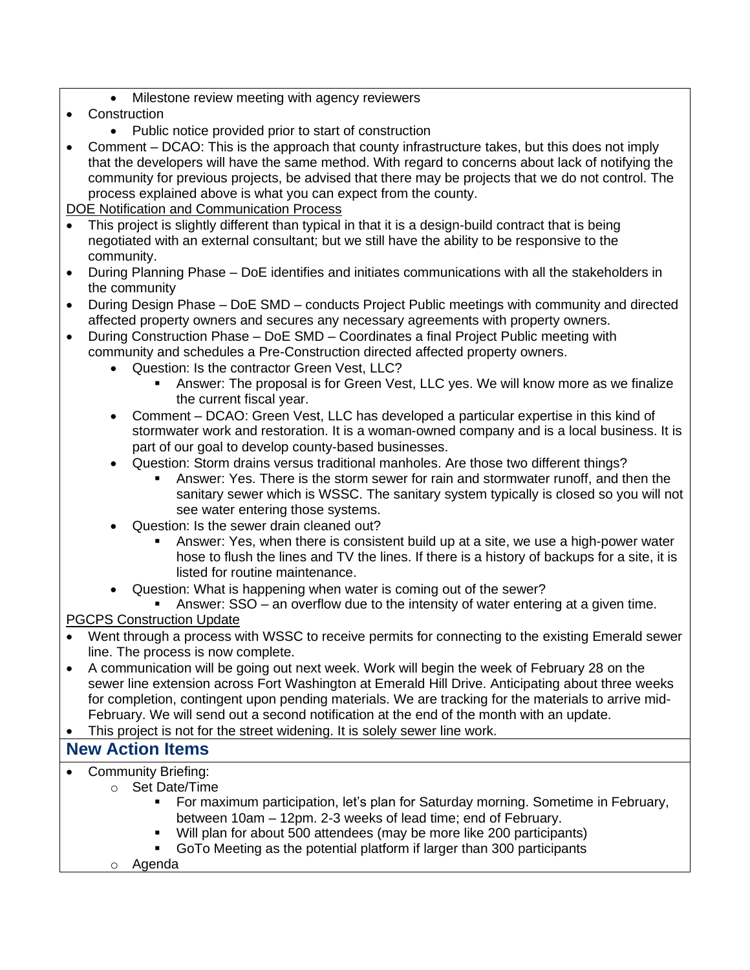- Milestone review meeting with agency reviewers
- Construction
	- Public notice provided prior to start of construction
- Comment DCAO: This is the approach that county infrastructure takes, but this does not imply that the developers will have the same method. With regard to concerns about lack of notifying the community for previous projects, be advised that there may be projects that we do not control. The process explained above is what you can expect from the county.

#### DOE Notification and Communication Process

- This project is slightly different than typical in that it is a design-build contract that is being negotiated with an external consultant; but we still have the ability to be responsive to the community.
- During Planning Phase DoE identifies and initiates communications with all the stakeholders in the community
- During Design Phase DoE SMD conducts Project Public meetings with community and directed affected property owners and secures any necessary agreements with property owners.
- During Construction Phase DoE SMD Coordinates a final Project Public meeting with community and schedules a Pre-Construction directed affected property owners.
	- Question: Is the contractor Green Vest, LLC?
		- **EXED Answer: The proposal is for Green Vest, LLC yes. We will know more as we finalize** the current fiscal year.
	- Comment DCAO: Green Vest, LLC has developed a particular expertise in this kind of stormwater work and restoration. It is a woman-owned company and is a local business. It is part of our goal to develop county-based businesses.
	- Question: Storm drains versus traditional manholes. Are those two different things?
		- Answer: Yes. There is the storm sewer for rain and stormwater runoff, and then the sanitary sewer which is WSSC. The sanitary system typically is closed so you will not see water entering those systems.
	- Question: Is the sewer drain cleaned out?
		- Answer: Yes, when there is consistent build up at a site, we use a high-power water hose to flush the lines and TV the lines. If there is a history of backups for a site, it is listed for routine maintenance.
	- Question: What is happening when water is coming out of the sewer?

Answer:  $SSO -$  an overflow due to the intensity of water entering at a given time.

### PGCPS Construction Update

- Went through a process with WSSC to receive permits for connecting to the existing Emerald sewer line. The process is now complete.
- A communication will be going out next week. Work will begin the week of February 28 on the sewer line extension across Fort Washington at Emerald Hill Drive. Anticipating about three weeks for completion, contingent upon pending materials. We are tracking for the materials to arrive mid-February. We will send out a second notification at the end of the month with an update.
- This project is not for the street widening. It is solely sewer line work.

# **New Action Items**

- Community Briefing:
	- o Set Date/Time
		- **For maximum participation, let's plan for Saturday morning. Sometime in February,** between 10am – 12pm. 2-3 weeks of lead time; end of February.
		- Will plan for about 500 attendees (may be more like 200 participants)
		- GoTo Meeting as the potential platform if larger than 300 participants
		- o Agenda